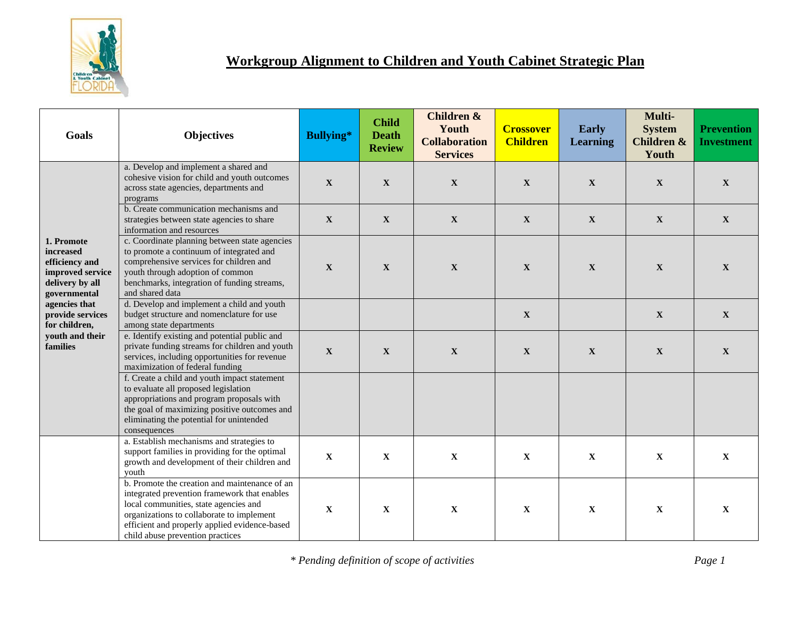

## **Workgroup Alignment to Children and Youth Cabinet Strategic Plan**

| Goals                                                                                                                                                                                 | <b>Objectives</b>                                                                                                                                                                                                                                                        | <b>Bullying*</b> | <b>Child</b><br><b>Death</b><br><b>Review</b> | Children &<br>Youth<br><b>Collaboration</b><br><b>Services</b> | <b>Crossover</b><br><b>Children</b> | <b>Early</b><br><b>Learning</b> | Multi-<br><b>System</b><br>Children &<br>Youth | <b>Prevention</b><br><b>Investment</b> |
|---------------------------------------------------------------------------------------------------------------------------------------------------------------------------------------|--------------------------------------------------------------------------------------------------------------------------------------------------------------------------------------------------------------------------------------------------------------------------|------------------|-----------------------------------------------|----------------------------------------------------------------|-------------------------------------|---------------------------------|------------------------------------------------|----------------------------------------|
| 1. Promote<br>increased<br>efficiency and<br>improved service<br>delivery by all<br>governmental<br>agencies that<br>provide services<br>for children,<br>youth and their<br>families | a. Develop and implement a shared and<br>cohesive vision for child and youth outcomes<br>across state agencies, departments and<br>programs                                                                                                                              | $\mathbf X$      | $\mathbf{X}$                                  | $\mathbf X$                                                    | $\mathbf{X}$                        | $\mathbf X$                     | $\mathbf X$                                    | $\mathbf X$                            |
|                                                                                                                                                                                       | b. Create communication mechanisms and<br>strategies between state agencies to share<br>information and resources                                                                                                                                                        | $\mathbf X$      | $\mathbf X$                                   | $\mathbf X$                                                    | $\mathbf X$                         | $\mathbf X$                     | $\mathbf X$                                    | $\boldsymbol{\mathrm{X}}$              |
|                                                                                                                                                                                       | c. Coordinate planning between state agencies<br>to promote a continuum of integrated and<br>comprehensive services for children and<br>youth through adoption of common<br>benchmarks, integration of funding streams,<br>and shared data                               | $\mathbf X$      | $\mathbf X$                                   | $\mathbf X$                                                    | $\mathbf X$                         | $\mathbf X$                     | $\mathbf X$                                    | $\mathbf X$                            |
|                                                                                                                                                                                       | d. Develop and implement a child and youth<br>budget structure and nomenclature for use<br>among state departments                                                                                                                                                       |                  |                                               |                                                                | $\mathbf{X}$                        |                                 | $\mathbf{X}$                                   | $\mathbf X$                            |
|                                                                                                                                                                                       | e. Identify existing and potential public and<br>private funding streams for children and youth<br>services, including opportunities for revenue<br>maximization of federal funding                                                                                      | $\mathbf X$      | $\mathbf X$                                   | $\mathbf X$                                                    | $\mathbf X$                         | $\mathbf X$                     | $\mathbf X$                                    | $\mathbf X$                            |
|                                                                                                                                                                                       | f. Create a child and youth impact statement<br>to evaluate all proposed legislation<br>appropriations and program proposals with<br>the goal of maximizing positive outcomes and<br>eliminating the potential for unintended<br>consequences                            |                  |                                               |                                                                |                                     |                                 |                                                |                                        |
|                                                                                                                                                                                       | a. Establish mechanisms and strategies to<br>support families in providing for the optimal<br>growth and development of their children and<br>vouth                                                                                                                      | $\mathbf X$      | $\mathbf X$                                   | $\mathbf X$                                                    | $\mathbf X$                         | $\mathbf X$                     | $\mathbf X$                                    | $\mathbf X$                            |
|                                                                                                                                                                                       | b. Promote the creation and maintenance of an<br>integrated prevention framework that enables<br>local communities, state agencies and<br>organizations to collaborate to implement<br>efficient and properly applied evidence-based<br>child abuse prevention practices | $\mathbf X$      | $\mathbf X$                                   | $\mathbf X$                                                    | $\mathbf X$                         | $\mathbf X$                     | $\mathbf X$                                    | $\mathbf X$                            |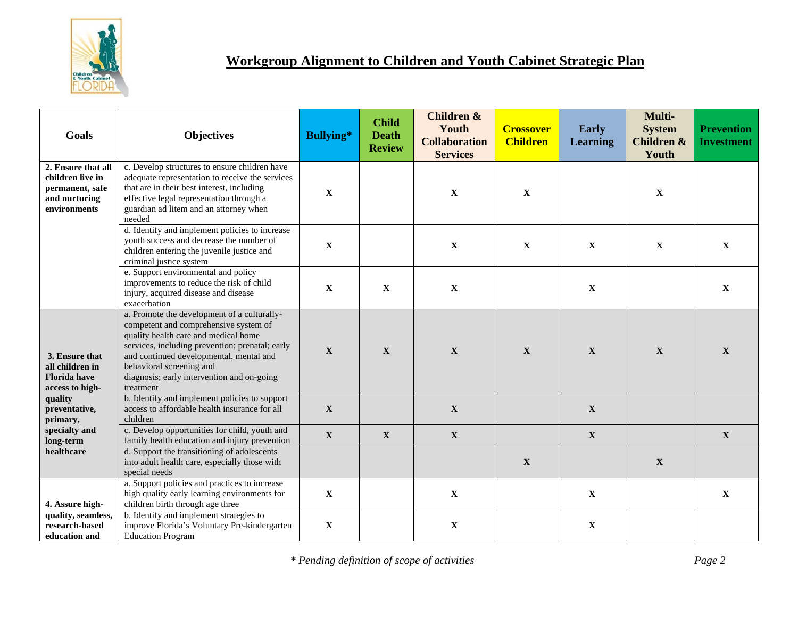

## **Workgroup Alignment to Children and Youth Cabinet Strategic Plan**

| Goals                                                                                      | <b>Objectives</b>                                                                                                                                                                                                                                                                                                 | <b>Bullying*</b> | <b>Child</b><br><b>Death</b><br><b>Review</b> | <b>Children &amp;</b><br>Youth<br><b>Collaboration</b><br><b>Services</b> | <b>Crossover</b><br><b>Children</b> | <b>Early</b><br><b>Learning</b> | Multi-<br><b>System</b><br><b>Children &amp;</b><br>Youth | <b>Prevention</b><br><b>Investment</b> |
|--------------------------------------------------------------------------------------------|-------------------------------------------------------------------------------------------------------------------------------------------------------------------------------------------------------------------------------------------------------------------------------------------------------------------|------------------|-----------------------------------------------|---------------------------------------------------------------------------|-------------------------------------|---------------------------------|-----------------------------------------------------------|----------------------------------------|
| 2. Ensure that all<br>children live in<br>permanent, safe<br>and nurturing<br>environments | c. Develop structures to ensure children have<br>adequate representation to receive the services<br>that are in their best interest, including<br>effective legal representation through a<br>guardian ad litem and an attorney when<br>needed                                                                    | $\mathbf X$      |                                               | $\mathbf X$                                                               | $\mathbf X$                         |                                 | $\mathbf X$                                               |                                        |
|                                                                                            | d. Identify and implement policies to increase<br>youth success and decrease the number of<br>children entering the juvenile justice and<br>criminal justice system                                                                                                                                               | $\mathbf X$      |                                               | $\mathbf X$                                                               | $\mathbf{X}$                        | $\mathbf X$                     | $\mathbf X$                                               | $\mathbf X$                            |
|                                                                                            | e. Support environmental and policy<br>improvements to reduce the risk of child<br>injury, acquired disease and disease<br>exacerbation                                                                                                                                                                           | $\mathbf X$      | $\mathbf X$                                   | $\mathbf X$                                                               |                                     | $\mathbf X$                     |                                                           | $\mathbf X$                            |
| 3. Ensure that<br>all children in<br><b>Florida</b> have<br>access to high-                | a. Promote the development of a culturally-<br>competent and comprehensive system of<br>quality health care and medical home<br>services, including prevention; prenatal; early<br>and continued developmental, mental and<br>behavioral screening and<br>diagnosis; early intervention and on-going<br>treatment | $\mathbf X$      | $\mathbf X$                                   | $\mathbf X$                                                               | $\mathbf{X}$                        | $\mathbf{X}$                    | $\mathbf{X}$                                              | $\mathbf X$                            |
| quality<br>preventative,<br>primary,                                                       | b. Identify and implement policies to support<br>access to affordable health insurance for all<br>children                                                                                                                                                                                                        | $\mathbf X$      |                                               | $\mathbf X$                                                               |                                     | $\mathbf X$                     |                                                           |                                        |
| specialty and<br>long-term                                                                 | c. Develop opportunities for child, youth and<br>family health education and injury prevention                                                                                                                                                                                                                    | $\mathbf{X}$     | $\mathbf{X}$                                  | $\mathbf X$                                                               |                                     | $\mathbf X$                     |                                                           | $\mathbf X$                            |
| healthcare                                                                                 | d. Support the transitioning of adolescents<br>into adult health care, especially those with<br>special needs                                                                                                                                                                                                     |                  |                                               |                                                                           | $\mathbf{X}$                        |                                 | $\mathbf X$                                               |                                        |
| 4. Assure high-                                                                            | a. Support policies and practices to increase<br>high quality early learning environments for<br>children birth through age three                                                                                                                                                                                 | $\mathbf X$      |                                               | $\mathbf X$                                                               |                                     | $\mathbf X$                     |                                                           | $\mathbf X$                            |
| quality, seamless,<br>research-based<br>education and                                      | b. Identify and implement strategies to<br>improve Florida's Voluntary Pre-kindergarten<br><b>Education Program</b>                                                                                                                                                                                               | $\mathbf{X}$     |                                               | $\mathbf X$                                                               |                                     | $\mathbf X$                     |                                                           |                                        |